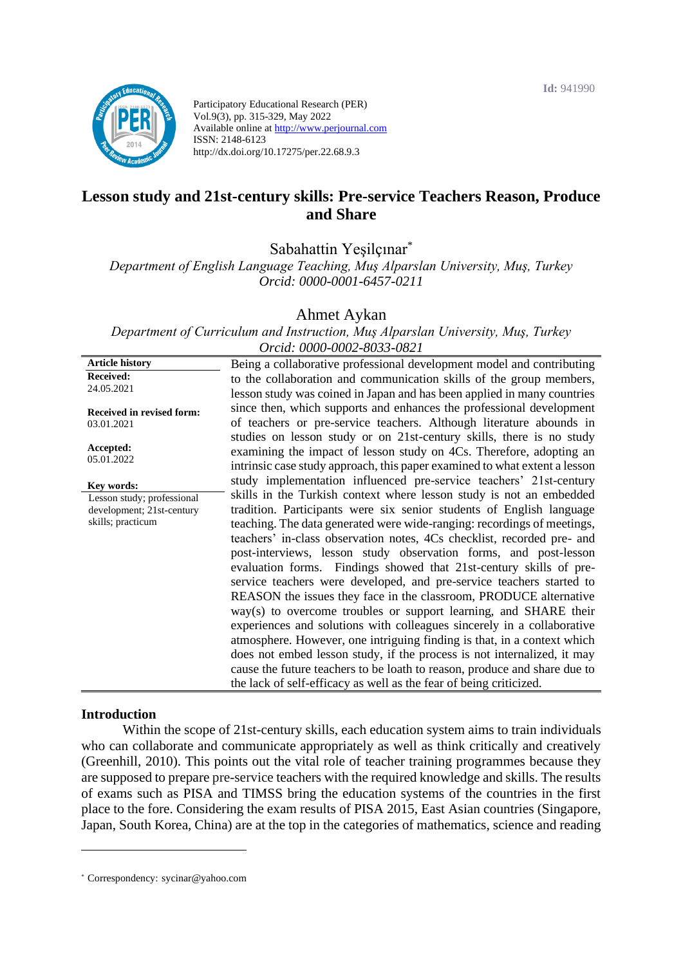

Participatory Educational Research (PER) Vol.9(3), pp. 315-329, May 2022 Available online at http://www.perjournal.com ISSN: 2148-6123 http://dx.doi.org/10.17275/per.22.68.9.3

# **Lesson study and 21st-century skills: Pre-service Teachers Reason, Produce and Share**

Sabahattin Yeşilçınar\*

*Department of English Language Teaching, Muş Alparslan University, Muş, Turkey Orcid: 0000-0001-6457-0211*

Ahmet Aykan

*Department of Curriculum and Instruction, Muş Alparslan University, Muş, Turkey Orcid: 0000-0002-8033-0821*

| <b>Article history</b>         | Being a collaborative professional development model and contributing                                                                           |
|--------------------------------|-------------------------------------------------------------------------------------------------------------------------------------------------|
| <b>Received:</b><br>24.05.2021 | to the collaboration and communication skills of the group members,                                                                             |
| Received in revised form:      | lesson study was coined in Japan and has been applied in many countries<br>since then, which supports and enhances the professional development |
| 03.01.2021                     | of teachers or pre-service teachers. Although literature abounds in                                                                             |
|                                | studies on lesson study or on 21st-century skills, there is no study                                                                            |
| Accepted:<br>05.01.2022        | examining the impact of lesson study on 4Cs. Therefore, adopting an                                                                             |
|                                | intrinsic case study approach, this paper examined to what extent a lesson                                                                      |
| Key words:                     | study implementation influenced pre-service teachers' 21st-century                                                                              |
| Lesson study; professional     | skills in the Turkish context where lesson study is not an embedded                                                                             |
| development; 21st-century      | tradition. Participants were six senior students of English language                                                                            |
| skills; practicum              | teaching. The data generated were wide-ranging: recordings of meetings,                                                                         |
|                                | teachers' in-class observation notes, 4Cs checklist, recorded pre- and                                                                          |
|                                | post-interviews, lesson study observation forms, and post-lesson                                                                                |
|                                | evaluation forms. Findings showed that 21st-century skills of pre-                                                                              |
|                                | service teachers were developed, and pre-service teachers started to                                                                            |
|                                | REASON the issues they face in the classroom, PRODUCE alternative                                                                               |
|                                | way(s) to overcome troubles or support learning, and SHARE their                                                                                |
|                                | experiences and solutions with colleagues sincerely in a collaborative                                                                          |
|                                | atmosphere. However, one intriguing finding is that, in a context which                                                                         |
|                                |                                                                                                                                                 |
|                                | does not embed lesson study, if the process is not internalized, it may                                                                         |
|                                | cause the future teachers to be loath to reason, produce and share due to                                                                       |
|                                | the lack of self-efficacy as well as the fear of being criticized.                                                                              |

#### **Introduction**

Within the scope of 21st-century skills, each education system aims to train individuals who can collaborate and communicate appropriately as well as think critically and creatively (Greenhill, 2010). This points out the vital role of teacher training programmes because they are supposed to prepare pre-service teachers with the required knowledge and skills. The results of exams such as PISA and TIMSS bring the education systems of the countries in the first place to the fore. Considering the exam results of PISA 2015, East Asian countries (Singapore, Japan, South Korea, China) are at the top in the categories of mathematics, science and reading

<sup>\*</sup> [Correspondency:](mailto:Correspondency:) sycinar@yahoo.com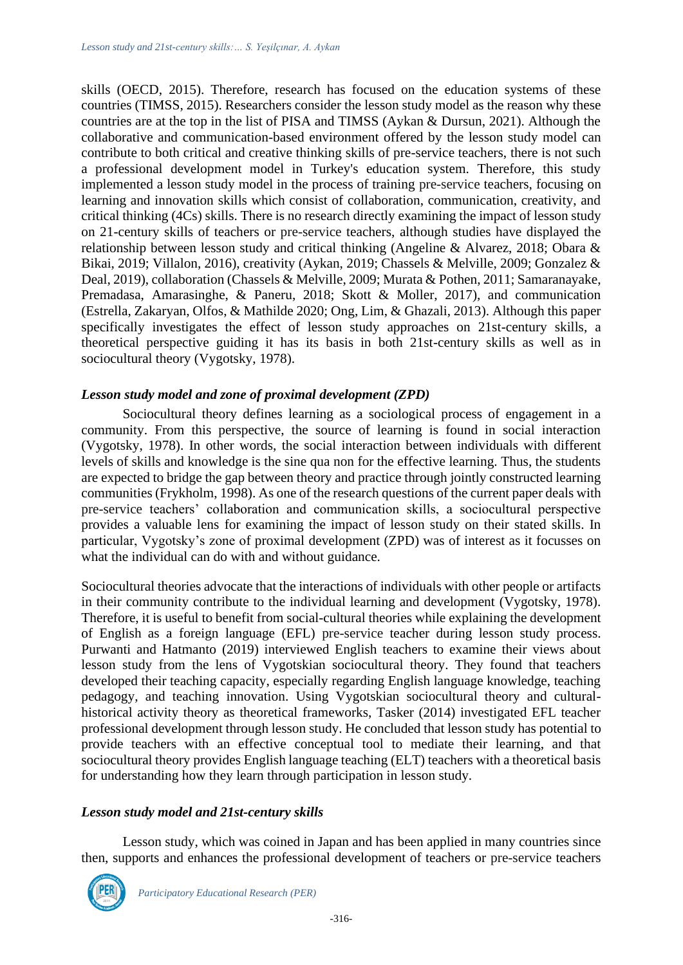skills (OECD, 2015). Therefore, research has focused on the education systems of these countries (TIMSS, 2015). Researchers consider the lesson study model as the reason why these countries are at the top in the list of PISA and TIMSS (Aykan & Dursun, 2021). Although the collaborative and communication-based environment offered by the lesson study model can contribute to both critical and creative thinking skills of pre-service teachers, there is not such a professional development model in Turkey's education system. Therefore, this study implemented a lesson study model in the process of training pre-service teachers, focusing on learning and innovation skills which consist of collaboration, communication, creativity, and critical thinking (4Cs) skills. There is no research directly examining the impact of lesson study on 21-century skills of teachers or pre-service teachers, although studies have displayed the relationship between lesson study and critical thinking (Angeline & Alvarez, 2018; Obara & Bikai, 2019; Villalon, 2016), creativity (Aykan, 2019; Chassels & Melville, 2009; Gonzalez & Deal, 2019), collaboration (Chassels & Melville, 2009; Murata & Pothen, 2011; Samaranayake, Premadasa, Amarasinghe, & Paneru, 2018; Skott & Moller, 2017), and communication (Estrella, Zakaryan, Olfos, & Mathilde 2020; Ong, Lim, & Ghazali, 2013). Although this paper specifically investigates the effect of lesson study approaches on 21st-century skills, a theoretical perspective guiding it has its basis in both 21st-century skills as well as in sociocultural theory (Vygotsky, 1978).

### *Lesson study model and zone of proximal development (ZPD)*

Sociocultural theory defines learning as a sociological process of engagement in a community. From this perspective, the source of learning is found in social interaction (Vygotsky, 1978). In other words, the social interaction between individuals with different levels of skills and knowledge is the sine qua non for the effective learning. Thus, the students are expected to bridge the gap between theory and practice through jointly constructed learning communities (Frykholm, 1998). As one of the research questions of the current paper deals with pre-service teachers' collaboration and communication skills, a sociocultural perspective provides a valuable lens for examining the impact of lesson study on their stated skills. In particular, Vygotsky's zone of proximal development (ZPD) was of interest as it focusses on what the individual can do with and without guidance.

Sociocultural theories advocate that the interactions of individuals with other people or artifacts in their community contribute to the individual learning and development (Vygotsky, 1978). Therefore, it is useful to benefit from social-cultural theories while explaining the development of English as a foreign language (EFL) pre-service teacher during lesson study process. Purwanti and Hatmanto (2019) interviewed English teachers to examine their views about lesson study from the lens of Vygotskian sociocultural theory. They found that teachers developed their teaching capacity, especially regarding English language knowledge, teaching pedagogy, and teaching innovation. Using Vygotskian sociocultural theory and culturalhistorical activity theory as theoretical frameworks, Tasker (2014) investigated EFL teacher professional development through lesson study. He concluded that lesson study has potential to provide teachers with an effective conceptual tool to mediate their learning, and that sociocultural theory provides English language teaching (ELT) teachers with a theoretical basis for understanding how they learn through participation in lesson study.

### *Lesson study model and 21st-century skills*

Lesson study, which was coined in Japan and has been applied in many countries since then, supports and enhances the professional development of teachers or pre-service teachers

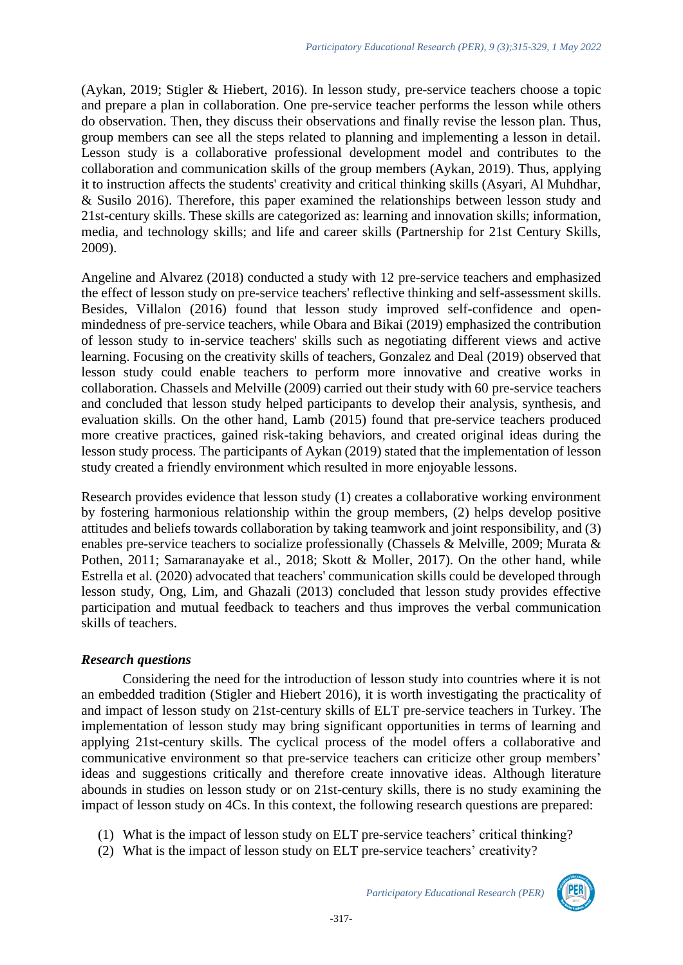(Aykan, 2019; Stigler & Hiebert, 2016). In lesson study, pre-service teachers choose a topic and prepare a plan in collaboration. One pre-service teacher performs the lesson while others do observation. Then, they discuss their observations and finally revise the lesson plan. Thus, group members can see all the steps related to planning and implementing a lesson in detail. Lesson study is a collaborative professional development model and contributes to the collaboration and communication skills of the group members (Aykan, 2019). Thus, applying it to instruction affects the students' creativity and critical thinking skills (Asyari, Al Muhdhar, & Susilo 2016). Therefore, this paper examined the relationships between lesson study and 21st-century skills. These skills are categorized as: learning and innovation skills; information, media, and technology skills; and life and career skills (Partnership for 21st Century Skills, 2009).

Angeline and Alvarez (2018) conducted a study with 12 pre-service teachers and emphasized the effect of lesson study on pre-service teachers' reflective thinking and self-assessment skills. Besides, Villalon (2016) found that lesson study improved self-confidence and openmindedness of pre-service teachers, while Obara and Bikai (2019) emphasized the contribution of lesson study to in-service teachers' skills such as negotiating different views and active learning. Focusing on the creativity skills of teachers, Gonzalez and Deal (2019) observed that lesson study could enable teachers to perform more innovative and creative works in collaboration. Chassels and Melville (2009) carried out their study with 60 pre-service teachers and concluded that lesson study helped participants to develop their analysis, synthesis, and evaluation skills. On the other hand, Lamb (2015) found that pre-service teachers produced more creative practices, gained risk-taking behaviors, and created original ideas during the lesson study process. The participants of Aykan (2019) stated that the implementation of lesson study created a friendly environment which resulted in more enjoyable lessons.

Research provides evidence that lesson study (1) creates a collaborative working environment by fostering harmonious relationship within the group members, (2) helps develop positive attitudes and beliefs towards collaboration by taking teamwork and joint responsibility, and (3) enables pre-service teachers to socialize professionally (Chassels & Melville, 2009; Murata & Pothen, 2011; Samaranayake et al., 2018; Skott & Moller, 2017). On the other hand, while Estrella et al. (2020) advocated that teachers' communication skills could be developed through lesson study, Ong, Lim, and Ghazali (2013) concluded that lesson study provides effective participation and mutual feedback to teachers and thus improves the verbal communication skills of teachers.

### *Research questions*

Considering the need for the introduction of lesson study into countries where it is not an embedded tradition (Stigler and Hiebert 2016), it is worth investigating the practicality of and impact of lesson study on 21st-century skills of ELT pre-service teachers in Turkey. The implementation of lesson study may bring significant opportunities in terms of learning and applying 21st-century skills. The cyclical process of the model offers a collaborative and communicative environment so that pre-service teachers can criticize other group members' ideas and suggestions critically and therefore create innovative ideas. Although literature abounds in studies on lesson study or on 21st-century skills, there is no study examining the impact of lesson study on 4Cs. In this context, the following research questions are prepared:

- (1) What is the impact of lesson study on ELT pre-service teachers' critical thinking?
- (2) What is the impact of lesson study on ELT pre-service teachers' creativity?

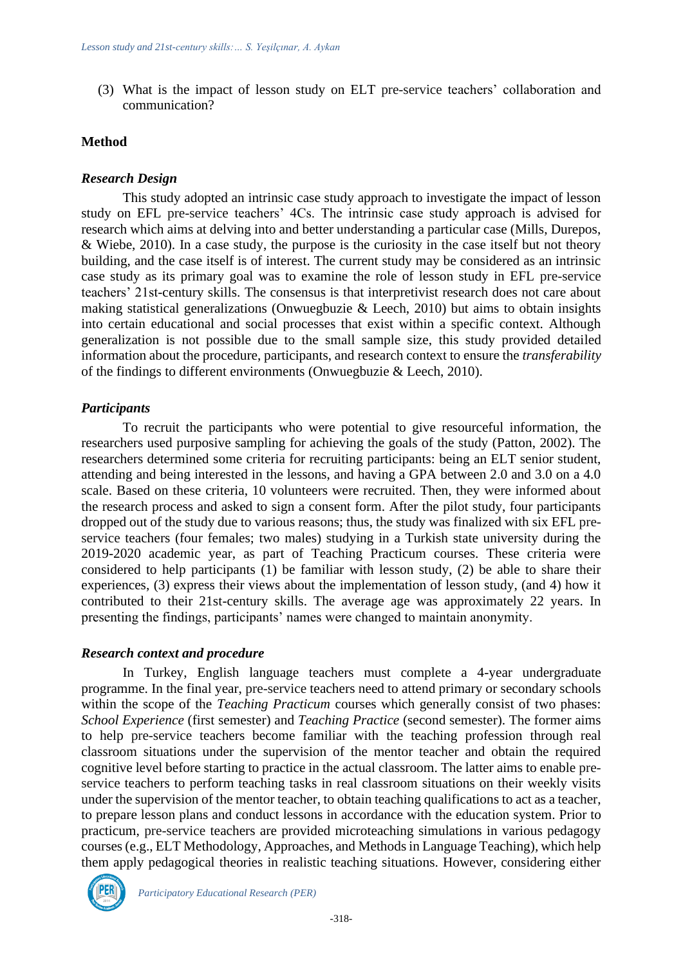(3) What is the impact of lesson study on ELT pre-service teachers' collaboration and communication?

#### **Method**

#### *Research Design*

This study adopted an intrinsic case study approach to investigate the impact of lesson study on EFL pre-service teachers' 4Cs. The intrinsic case study approach is advised for research which aims at delving into and better understanding a particular case (Mills, Durepos, & Wiebe, 2010). In a case study, the purpose is the curiosity in the case itself but not theory building, and the case itself is of interest. The current study may be considered as an intrinsic case study as its primary goal was to examine the role of lesson study in EFL pre-service teachers' 21st-century skills. The consensus is that interpretivist research does not care about making statistical generalizations (Onwuegbuzie  $\&$  Leech, 2010) but aims to obtain insights into certain educational and social processes that exist within a specific context. Although generalization is not possible due to the small sample size, this study provided detailed information about the procedure, participants, and research context to ensure the *transferability* of the findings to different environments (Onwuegbuzie & Leech, 2010).

#### *Participants*

To recruit the participants who were potential to give resourceful information, the researchers used purposive sampling for achieving the goals of the study (Patton, 2002). The researchers determined some criteria for recruiting participants: being an ELT senior student, attending and being interested in the lessons, and having a GPA between 2.0 and 3.0 on a 4.0 scale. Based on these criteria, 10 volunteers were recruited. Then, they were informed about the research process and asked to sign a consent form. After the pilot study, four participants dropped out of the study due to various reasons; thus, the study was finalized with six EFL preservice teachers (four females; two males) studying in a Turkish state university during the 2019-2020 academic year, as part of Teaching Practicum courses. These criteria were considered to help participants (1) be familiar with lesson study, (2) be able to share their experiences, (3) express their views about the implementation of lesson study, (and 4) how it contributed to their 21st-century skills. The average age was approximately 22 years. In presenting the findings, participants' names were changed to maintain anonymity.

#### *Research context and procedure*

In Turkey, English language teachers must complete a 4-year undergraduate programme. In the final year, pre-service teachers need to attend primary or secondary schools within the scope of the *Teaching Practicum* courses which generally consist of two phases: *School Experience* (first semester) and *Teaching Practice* (second semester). The former aims to help pre-service teachers become familiar with the teaching profession through real classroom situations under the supervision of the mentor teacher and obtain the required cognitive level before starting to practice in the actual classroom. The latter aims to enable preservice teachers to perform teaching tasks in real classroom situations on their weekly visits under the supervision of the mentor teacher, to obtain teaching qualifications to act as a teacher, to prepare lesson plans and conduct lessons in accordance with the education system. Prior to practicum, pre-service teachers are provided microteaching simulations in various pedagogy courses (e.g., ELT Methodology, Approaches, and Methods in Language Teaching), which help them apply pedagogical theories in realistic teaching situations. However, considering either

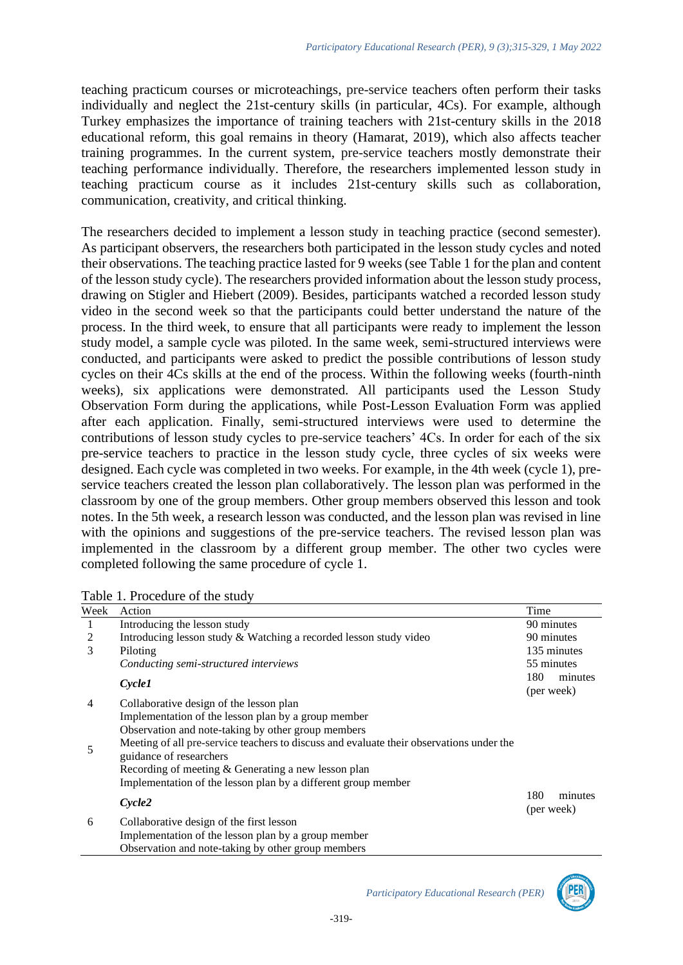teaching practicum courses or microteachings, pre-service teachers often perform their tasks individually and neglect the 21st-century skills (in particular, 4Cs). For example, although Turkey emphasizes the importance of training teachers with 21st-century skills in the 2018 educational reform, this goal remains in theory (Hamarat, 2019), which also affects teacher training programmes. In the current system, pre-service teachers mostly demonstrate their teaching performance individually. Therefore, the researchers implemented lesson study in teaching practicum course as it includes 21st-century skills such as collaboration, communication, creativity, and critical thinking.

The researchers decided to implement a lesson study in teaching practice (second semester). As participant observers, the researchers both participated in the lesson study cycles and noted their observations. The teaching practice lasted for 9 weeks (see Table 1 for the plan and content of the lesson study cycle). The researchers provided information about the lesson study process, drawing on Stigler and Hiebert (2009). Besides, participants watched a recorded lesson study video in the second week so that the participants could better understand the nature of the process. In the third week, to ensure that all participants were ready to implement the lesson study model, a sample cycle was piloted. In the same week, semi-structured interviews were conducted, and participants were asked to predict the possible contributions of lesson study cycles on their 4Cs skills at the end of the process. Within the following weeks (fourth-ninth weeks), six applications were demonstrated. All participants used the Lesson Study Observation Form during the applications, while Post-Lesson Evaluation Form was applied after each application. Finally, semi-structured interviews were used to determine the contributions of lesson study cycles to pre-service teachers' 4Cs. In order for each of the six pre-service teachers to practice in the lesson study cycle, three cycles of six weeks were designed. Each cycle was completed in two weeks. For example, in the 4th week (cycle 1), preservice teachers created the lesson plan collaboratively. The lesson plan was performed in the classroom by one of the group members. Other group members observed this lesson and took notes. In the 5th week, a research lesson was conducted, and the lesson plan was revised in line with the opinions and suggestions of the pre-service teachers. The revised lesson plan was implemented in the classroom by a different group member. The other two cycles were completed following the same procedure of cycle 1.

| Week | Action                                                                                                              | Time                         |
|------|---------------------------------------------------------------------------------------------------------------------|------------------------------|
| 1    | Introducing the lesson study                                                                                        | 90 minutes                   |
| 2    | Introducing lesson study & Watching a recorded lesson study video                                                   | 90 minutes                   |
| 3    | Piloting                                                                                                            | 135 minutes                  |
|      | Conducting semi-structured interviews                                                                               | 55 minutes                   |
|      | <i>Cycle1</i>                                                                                                       | 180<br>minutes<br>(per week) |
| 4    | Collaborative design of the lesson plan                                                                             |                              |
|      | Implementation of the lesson plan by a group member                                                                 |                              |
|      | Observation and note-taking by other group members                                                                  |                              |
| 5    | Meeting of all pre-service teachers to discuss and evaluate their observations under the<br>guidance of researchers |                              |
|      | Recording of meeting & Generating a new lesson plan                                                                 |                              |
|      | Implementation of the lesson plan by a different group member                                                       |                              |
|      | Cycle2                                                                                                              | 180<br>minutes<br>(per week) |
| 6    | Collaborative design of the first lesson                                                                            |                              |
|      | Implementation of the lesson plan by a group member                                                                 |                              |
|      | Observation and note-taking by other group members                                                                  |                              |

| Table 1. Procedure of the study |
|---------------------------------|
|---------------------------------|



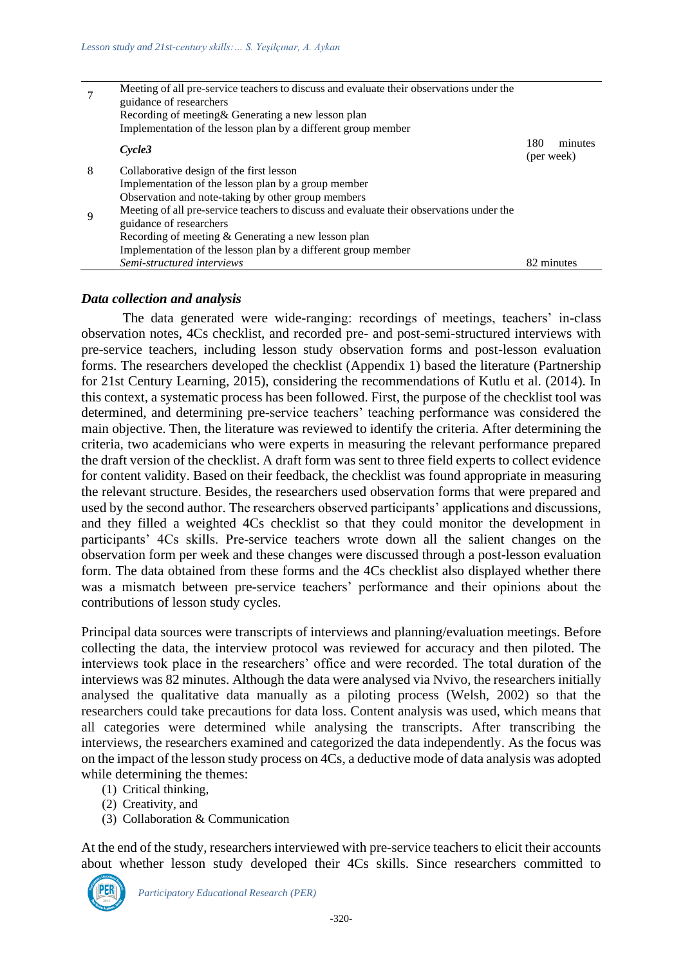|   | Meeting of all pre-service teachers to discuss and evaluate their observations under the |                              |
|---|------------------------------------------------------------------------------------------|------------------------------|
|   | guidance of researchers                                                                  |                              |
|   | Recording of meeting & Generating a new lesson plan                                      |                              |
|   | Implementation of the lesson plan by a different group member                            |                              |
|   | $C$ vcle3                                                                                | 180<br>minutes<br>(per week) |
| 8 | Collaborative design of the first lesson                                                 |                              |
|   | Implementation of the lesson plan by a group member                                      |                              |
|   | Observation and note-taking by other group members                                       |                              |
| 9 | Meeting of all pre-service teachers to discuss and evaluate their observations under the |                              |
|   | guidance of researchers                                                                  |                              |
|   | Recording of meeting & Generating a new lesson plan                                      |                              |
|   | Implementation of the lesson plan by a different group member                            |                              |
|   | Semi-structured interviews                                                               | 82 minutes                   |

#### *Data collection and analysis*

The data generated were wide-ranging: recordings of meetings, teachers' in-class observation notes, 4Cs checklist, and recorded pre- and post-semi-structured interviews with pre-service teachers, including lesson study observation forms and post-lesson evaluation forms. The researchers developed the checklist (Appendix 1) based the literature (Partnership for 21st Century Learning, 2015), considering the recommendations of Kutlu et al. (2014). In this context, a systematic process has been followed. First, the purpose of the checklist tool was determined, and determining pre-service teachers' teaching performance was considered the main objective. Then, the literature was reviewed to identify the criteria. After determining the criteria, two academicians who were experts in measuring the relevant performance prepared the draft version of the checklist. A draft form was sent to three field experts to collect evidence for content validity. Based on their feedback, the checklist was found appropriate in measuring the relevant structure. Besides, the researchers used observation forms that were prepared and used by the second author. The researchers observed participants' applications and discussions, and they filled a weighted 4Cs checklist so that they could monitor the development in participants' 4Cs skills. Pre-service teachers wrote down all the salient changes on the observation form per week and these changes were discussed through a post-lesson evaluation form. The data obtained from these forms and the 4Cs checklist also displayed whether there was a mismatch between pre-service teachers' performance and their opinions about the contributions of lesson study cycles.

Principal data sources were transcripts of interviews and planning/evaluation meetings. Before collecting the data, the interview protocol was reviewed for accuracy and then piloted. The interviews took place in the researchers' office and were recorded. The total duration of the interviews was 82 minutes. Although the data were analysed via Nvivo, the researchers initially analysed the qualitative data manually as a piloting process (Welsh, 2002) so that the researchers could take precautions for data loss. Content analysis was used, which means that all categories were determined while analysing the transcripts. After transcribing the interviews, the researchers examined and categorized the data independently. As the focus was on the impact of the lesson study process on 4Cs, a deductive mode of data analysis was adopted while determining the themes:

- (1) Critical thinking,
- (2) Creativity, and
- (3) Collaboration & Communication

At the end of the study, researchers interviewed with pre-service teachers to elicit their accounts about whether lesson study developed their 4Cs skills. Since researchers committed to

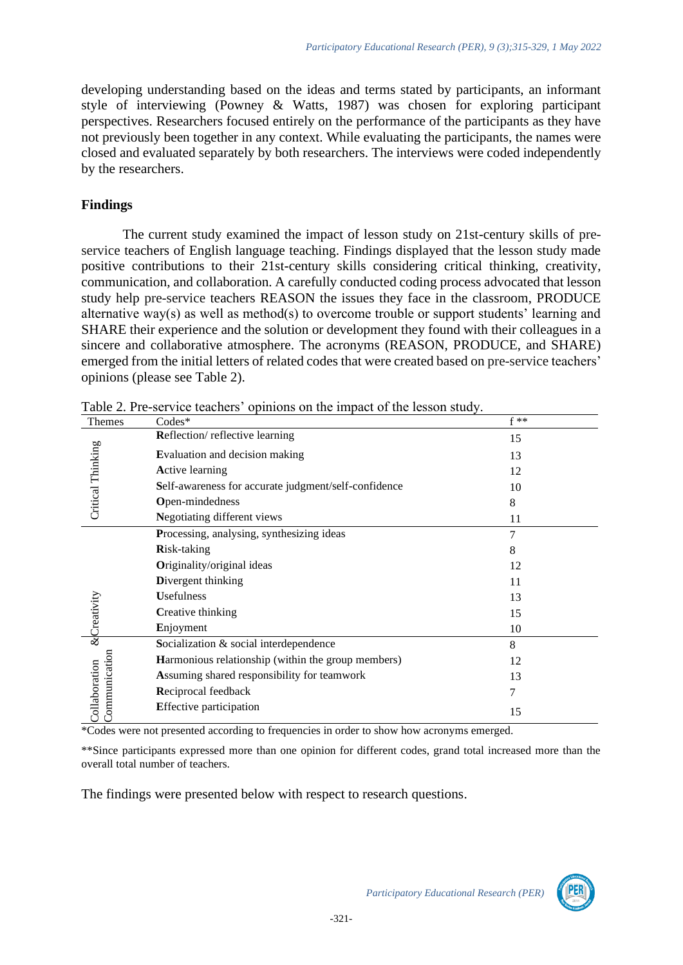developing understanding based on the ideas and terms stated by participants, an informant style of interviewing (Powney & Watts, 1987) was chosen for exploring participant perspectives. Researchers focused entirely on the performance of the participants as they have not previously been together in any context. While evaluating the participants, the names were closed and evaluated separately by both researchers. The interviews were coded independently by the researchers.

### **Findings**

The current study examined the impact of lesson study on 21st-century skills of preservice teachers of English language teaching. Findings displayed that the lesson study made positive contributions to their 21st-century skills considering critical thinking, creativity, communication, and collaboration. A carefully conducted coding process advocated that lesson study help pre-service teachers REASON the issues they face in the classroom, PRODUCE alternative way(s) as well as method(s) to overcome trouble or support students' learning and SHARE their experience and the solution or development they found with their colleagues in a sincere and collaborative atmosphere. The acronyms (REASON, PRODUCE, and SHARE) emerged from the initial letters of related codes that were created based on pre-service teachers' opinions (please see Table 2).

| <b>Themes</b>                  | $\frac{1}{2}$ $\frac{1}{2}$ $\frac{1}{2}$ $\frac{1}{2}$ $\frac{1}{2}$ $\frac{1}{2}$ $\frac{1}{2}$ $\frac{1}{2}$ $\frac{1}{2}$ $\frac{1}{2}$ $\frac{1}{2}$ $\frac{1}{2}$ $\frac{1}{2}$ $\frac{1}{2}$ $\frac{1}{2}$ $\frac{1}{2}$ $\frac{1}{2}$ $\frac{1}{2}$ $\frac{1}{2}$ $\frac{1}{2}$ $\frac{1}{2}$ $\frac{1}{2}$<br>$\text{Codes}^*$ | $f**$ |
|--------------------------------|-----------------------------------------------------------------------------------------------------------------------------------------------------------------------------------------------------------------------------------------------------------------------------------------------------------------------------------------|-------|
|                                | Reflection/reflective learning                                                                                                                                                                                                                                                                                                          | 15    |
| Critical Thinking              | Evaluation and decision making                                                                                                                                                                                                                                                                                                          | 13    |
|                                | <b>Active learning</b>                                                                                                                                                                                                                                                                                                                  | 12    |
|                                | Self-awareness for accurate judgment/self-confidence                                                                                                                                                                                                                                                                                    | 10    |
|                                | Open-mindedness                                                                                                                                                                                                                                                                                                                         | 8     |
|                                | Negotiating different views                                                                                                                                                                                                                                                                                                             | 11    |
|                                | Processing, analysing, synthesizing ideas                                                                                                                                                                                                                                                                                               | 7     |
|                                | Risk-taking                                                                                                                                                                                                                                                                                                                             | 8     |
|                                | Originality/original ideas                                                                                                                                                                                                                                                                                                              | 12    |
|                                | Divergent thinking                                                                                                                                                                                                                                                                                                                      | 11    |
|                                | <b>Usefulness</b>                                                                                                                                                                                                                                                                                                                       | 13    |
|                                | Creative thinking                                                                                                                                                                                                                                                                                                                       | 15    |
| <b>&amp;Creativity</b>         | Enjoyment                                                                                                                                                                                                                                                                                                                               | 10    |
|                                | Socialization & social interdependence                                                                                                                                                                                                                                                                                                  | 8     |
|                                | Harmonious relationship (within the group members)                                                                                                                                                                                                                                                                                      | 12    |
|                                | Assuming shared responsibility for teamwork                                                                                                                                                                                                                                                                                             | 13    |
|                                | Reciprocal feedback                                                                                                                                                                                                                                                                                                                     | 7     |
| Communication<br>Collaboration | <b>Effective participation</b>                                                                                                                                                                                                                                                                                                          | 15    |

Table 2. Pre-service teachers' opinions on the impact of the lesson study.

\*Codes were not presented according to frequencies in order to show how acronyms emerged.

\*\*Since participants expressed more than one opinion for different codes, grand total increased more than the overall total number of teachers.

The findings were presented below with respect to research questions.

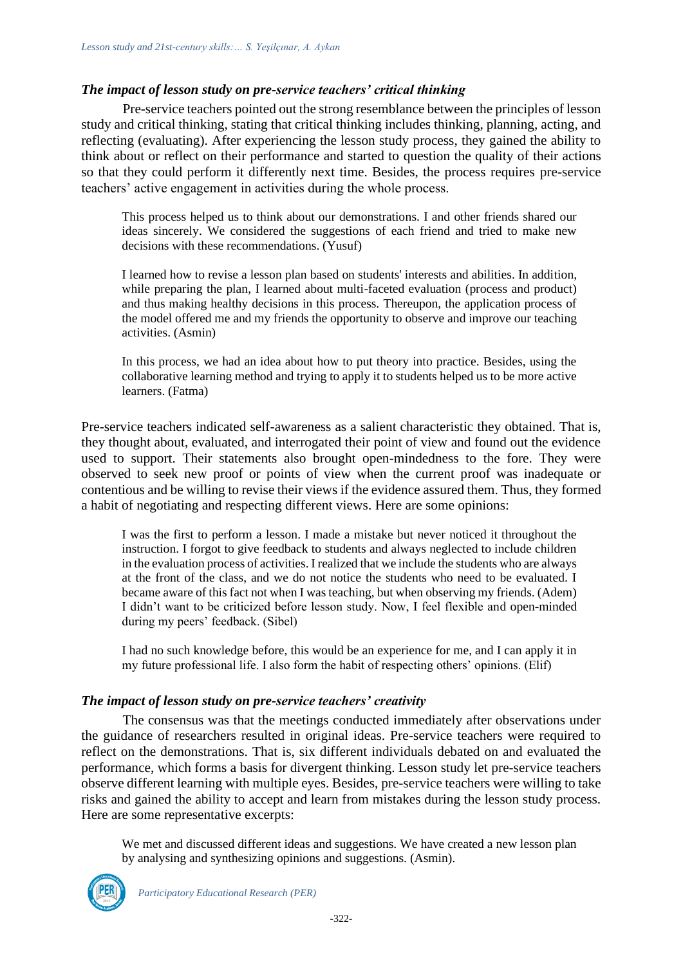### *The impact of lesson study on pre-service teachers' critical thinking*

Pre-service teachers pointed out the strong resemblance between the principles of lesson study and critical thinking, stating that critical thinking includes thinking, planning, acting, and reflecting (evaluating). After experiencing the lesson study process, they gained the ability to think about or reflect on their performance and started to question the quality of their actions so that they could perform it differently next time. Besides, the process requires pre-service teachers' active engagement in activities during the whole process.

This process helped us to think about our demonstrations. I and other friends shared our ideas sincerely. We considered the suggestions of each friend and tried to make new decisions with these recommendations. (Yusuf)

I learned how to revise a lesson plan based on students' interests and abilities. In addition, while preparing the plan, I learned about multi-faceted evaluation (process and product) and thus making healthy decisions in this process. Thereupon, the application process of the model offered me and my friends the opportunity to observe and improve our teaching activities. (Asmin)

In this process, we had an idea about how to put theory into practice. Besides, using the collaborative learning method and trying to apply it to students helped us to be more active learners. (Fatma)

Pre-service teachers indicated self-awareness as a salient characteristic they obtained. That is, they thought about, evaluated, and interrogated their point of view and found out the evidence used to support. Their statements also brought open-mindedness to the fore. They were observed to seek new proof or points of view when the current proof was inadequate or contentious and be willing to revise their views if the evidence assured them. Thus, they formed a habit of negotiating and respecting different views. Here are some opinions:

I was the first to perform a lesson. I made a mistake but never noticed it throughout the instruction. I forgot to give feedback to students and always neglected to include children in the evaluation process of activities. I realized that we include the students who are always at the front of the class, and we do not notice the students who need to be evaluated. I became aware of this fact not when I was teaching, but when observing my friends. (Adem) I didn't want to be criticized before lesson study. Now, I feel flexible and open-minded during my peers' feedback. (Sibel)

I had no such knowledge before, this would be an experience for me, and I can apply it in my future professional life. I also form the habit of respecting others' opinions. (Elif)

#### *The impact of lesson study on pre-service teachers' creativity*

The consensus was that the meetings conducted immediately after observations under the guidance of researchers resulted in original ideas. Pre-service teachers were required to reflect on the demonstrations. That is, six different individuals debated on and evaluated the performance, which forms a basis for divergent thinking. Lesson study let pre-service teachers observe different learning with multiple eyes. Besides, pre-service teachers were willing to take risks and gained the ability to accept and learn from mistakes during the lesson study process. Here are some representative excerpts:

We met and discussed different ideas and suggestions. We have created a new lesson plan by analysing and synthesizing opinions and suggestions. (Asmin).

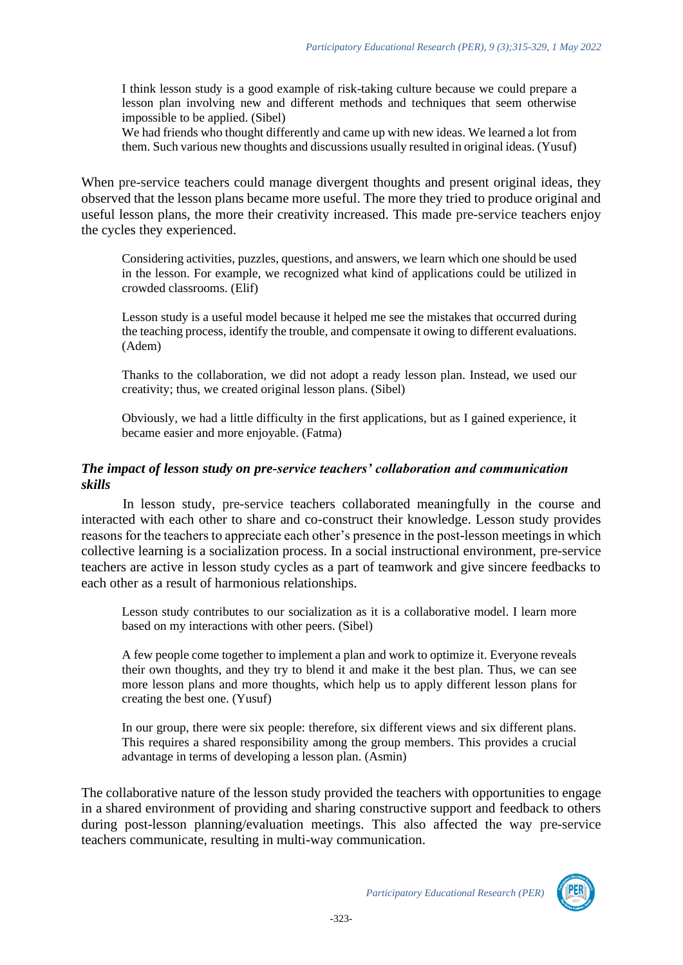I think lesson study is a good example of risk-taking culture because we could prepare a lesson plan involving new and different methods and techniques that seem otherwise impossible to be applied. (Sibel)

We had friends who thought differently and came up with new ideas. We learned a lot from them. Such various new thoughts and discussions usually resulted in original ideas. (Yusuf)

When pre-service teachers could manage divergent thoughts and present original ideas, they observed that the lesson plans became more useful. The more they tried to produce original and useful lesson plans, the more their creativity increased. This made pre-service teachers enjoy the cycles they experienced.

Considering activities, puzzles, questions, and answers, we learn which one should be used in the lesson. For example, we recognized what kind of applications could be utilized in crowded classrooms. (Elif)

Lesson study is a useful model because it helped me see the mistakes that occurred during the teaching process, identify the trouble, and compensate it owing to different evaluations. (Adem)

Thanks to the collaboration, we did not adopt a ready lesson plan. Instead, we used our creativity; thus, we created original lesson plans. (Sibel)

Obviously, we had a little difficulty in the first applications, but as I gained experience, it became easier and more enjoyable. (Fatma)

#### *The impact of lesson study on pre-service teachers' collaboration and communication skills*

In lesson study, pre-service teachers collaborated meaningfully in the course and interacted with each other to share and co-construct their knowledge. Lesson study provides reasons for the teachers to appreciate each other's presence in the post-lesson meetings in which collective learning is a socialization process. In a social instructional environment, pre-service teachers are active in lesson study cycles as a part of teamwork and give sincere feedbacks to each other as a result of harmonious relationships.

Lesson study contributes to our socialization as it is a collaborative model. I learn more based on my interactions with other peers. (Sibel)

A few people come together to implement a plan and work to optimize it. Everyone reveals their own thoughts, and they try to blend it and make it the best plan. Thus, we can see more lesson plans and more thoughts, which help us to apply different lesson plans for creating the best one. (Yusuf)

In our group, there were six people: therefore, six different views and six different plans. This requires a shared responsibility among the group members. This provides a crucial advantage in terms of developing a lesson plan. (Asmin)

The collaborative nature of the lesson study provided the teachers with opportunities to engage in a shared environment of providing and sharing constructive support and feedback to others during post-lesson planning/evaluation meetings. This also affected the way pre-service teachers communicate, resulting in multi-way communication.

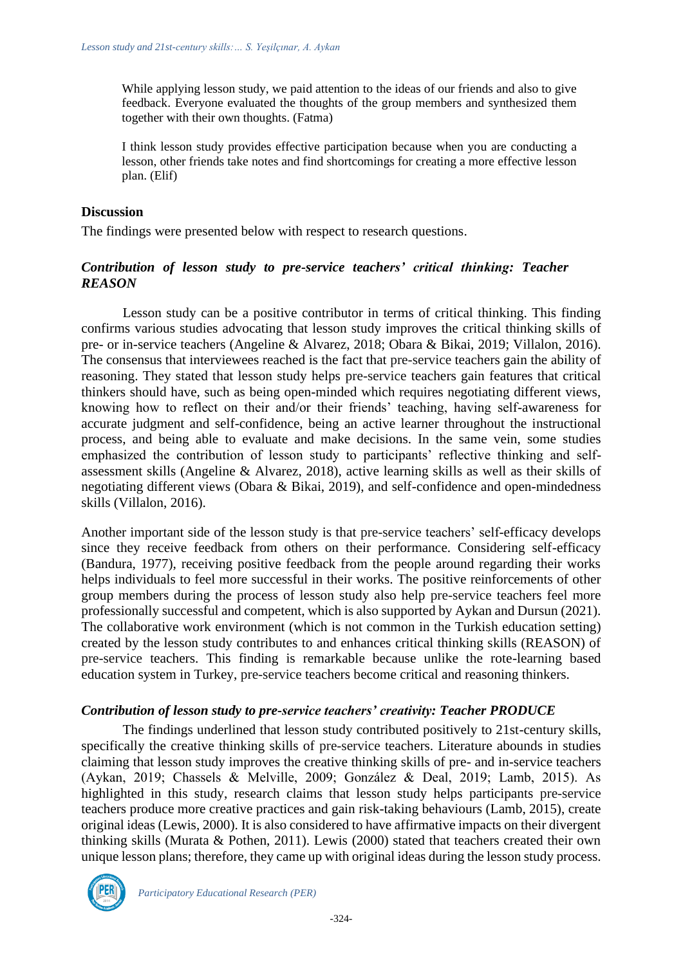While applying lesson study, we paid attention to the ideas of our friends and also to give feedback. Everyone evaluated the thoughts of the group members and synthesized them together with their own thoughts. (Fatma)

I think lesson study provides effective participation because when you are conducting a lesson, other friends take notes and find shortcomings for creating a more effective lesson plan. (Elif)

### **Discussion**

The findings were presented below with respect to research questions.

### *Contribution of lesson study to pre-service teachers' critical thinking: Teacher REASON*

Lesson study can be a positive contributor in terms of critical thinking. This finding confirms various studies advocating that lesson study improves the critical thinking skills of pre- or in-service teachers (Angeline & Alvarez, 2018; Obara & Bikai, 2019; Villalon, 2016). The consensus that interviewees reached is the fact that pre-service teachers gain the ability of reasoning. They stated that lesson study helps pre-service teachers gain features that critical thinkers should have, such as being open-minded which requires negotiating different views, knowing how to reflect on their and/or their friends' teaching, having self-awareness for accurate judgment and self-confidence, being an active learner throughout the instructional process, and being able to evaluate and make decisions. In the same vein, some studies emphasized the contribution of lesson study to participants' reflective thinking and selfassessment skills (Angeline & Alvarez, 2018), active learning skills as well as their skills of negotiating different views (Obara & Bikai, 2019), and self-confidence and open-mindedness skills (Villalon, 2016).

Another important side of the lesson study is that pre-service teachers' self-efficacy develops since they receive feedback from others on their performance. Considering self-efficacy (Bandura, 1977), receiving positive feedback from the people around regarding their works helps individuals to feel more successful in their works. The positive reinforcements of other group members during the process of lesson study also help pre-service teachers feel more professionally successful and competent, which is also supported by Aykan and Dursun (2021). The collaborative work environment (which is not common in the Turkish education setting) created by the lesson study contributes to and enhances critical thinking skills (REASON) of pre-service teachers. This finding is remarkable because unlike the rote-learning based education system in Turkey, pre-service teachers become critical and reasoning thinkers.

### *Contribution of lesson study to pre-service teachers' creativity: Teacher PRODUCE*

The findings underlined that lesson study contributed positively to 21st-century skills, specifically the creative thinking skills of pre-service teachers. Literature abounds in studies claiming that lesson study improves the creative thinking skills of pre- and in-service teachers (Aykan, 2019; Chassels & Melville, 2009; González & Deal, 2019; Lamb, 2015). As highlighted in this study, research claims that lesson study helps participants pre-service teachers produce more creative practices and gain risk-taking behaviours (Lamb, 2015), create original ideas (Lewis, 2000). It is also considered to have affirmative impacts on their divergent thinking skills (Murata & Pothen, 2011). Lewis (2000) stated that teachers created their own unique lesson plans; therefore, they came up with original ideas during the lesson study process.

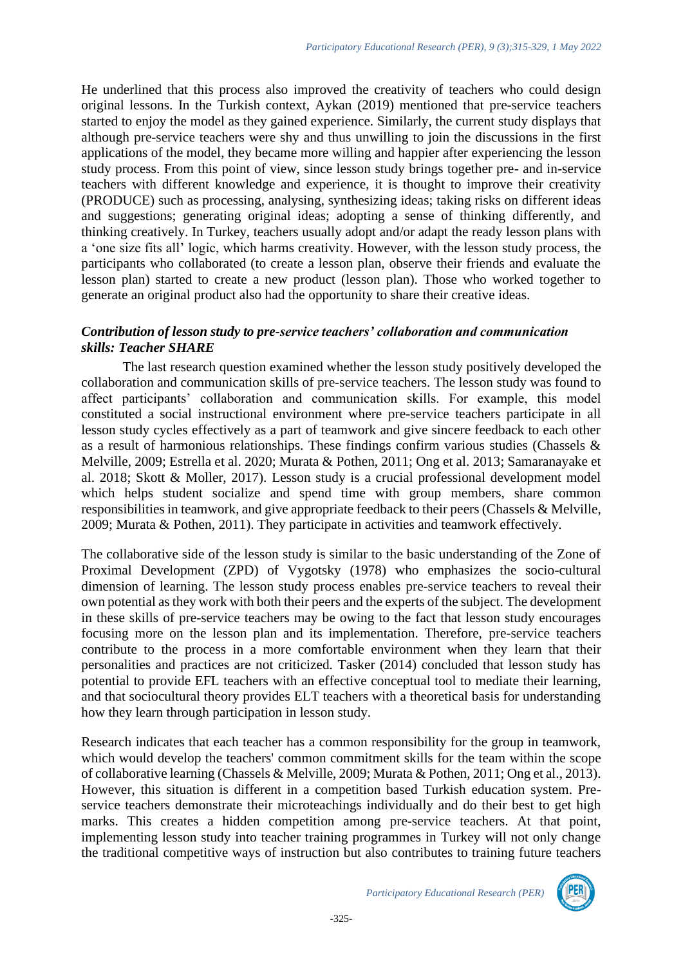He underlined that this process also improved the creativity of teachers who could design original lessons. In the Turkish context, Aykan (2019) mentioned that pre-service teachers started to enjoy the model as they gained experience. Similarly, the current study displays that although pre-service teachers were shy and thus unwilling to join the discussions in the first applications of the model, they became more willing and happier after experiencing the lesson study process. From this point of view, since lesson study brings together pre- and in-service teachers with different knowledge and experience, it is thought to improve their creativity (PRODUCE) such as processing, analysing, synthesizing ideas; taking risks on different ideas and suggestions; generating original ideas; adopting a sense of thinking differently, and thinking creatively. In Turkey, teachers usually adopt and/or adapt the ready lesson plans with a 'one size fits all' logic, which harms creativity. However, with the lesson study process, the participants who collaborated (to create a lesson plan, observe their friends and evaluate the lesson plan) started to create a new product (lesson plan). Those who worked together to generate an original product also had the opportunity to share their creative ideas.

### *Contribution of lesson study to pre-service teachers' collaboration and communication skills: Teacher SHARE*

The last research question examined whether the lesson study positively developed the collaboration and communication skills of pre-service teachers. The lesson study was found to affect participants' collaboration and communication skills. For example, this model constituted a social instructional environment where pre-service teachers participate in all lesson study cycles effectively as a part of teamwork and give sincere feedback to each other as a result of harmonious relationships. These findings confirm various studies (Chassels & Melville, 2009; Estrella et al. 2020; Murata & Pothen, 2011; Ong et al. 2013; Samaranayake et al. 2018; Skott & Moller, 2017). Lesson study is a crucial professional development model which helps student socialize and spend time with group members, share common responsibilities in teamwork, and give appropriate feedback to their peers (Chassels & Melville, 2009; Murata & Pothen, 2011). They participate in activities and teamwork effectively.

The collaborative side of the lesson study is similar to the basic understanding of the Zone of Proximal Development (ZPD) of Vygotsky (1978) who emphasizes the socio-cultural dimension of learning. The lesson study process enables pre-service teachers to reveal their own potential as they work with both their peers and the experts of the subject. The development in these skills of pre-service teachers may be owing to the fact that lesson study encourages focusing more on the lesson plan and its implementation. Therefore, pre-service teachers contribute to the process in a more comfortable environment when they learn that their personalities and practices are not criticized. Tasker (2014) concluded that lesson study has potential to provide EFL teachers with an effective conceptual tool to mediate their learning, and that sociocultural theory provides ELT teachers with a theoretical basis for understanding how they learn through participation in lesson study.

Research indicates that each teacher has a common responsibility for the group in teamwork, which would develop the teachers' common commitment skills for the team within the scope of collaborative learning (Chassels & Melville, 2009; Murata & Pothen, 2011; Ong et al., 2013). However, this situation is different in a competition based Turkish education system. Preservice teachers demonstrate their microteachings individually and do their best to get high marks. This creates a hidden competition among pre-service teachers. At that point, implementing lesson study into teacher training programmes in Turkey will not only change the traditional competitive ways of instruction but also contributes to training future teachers



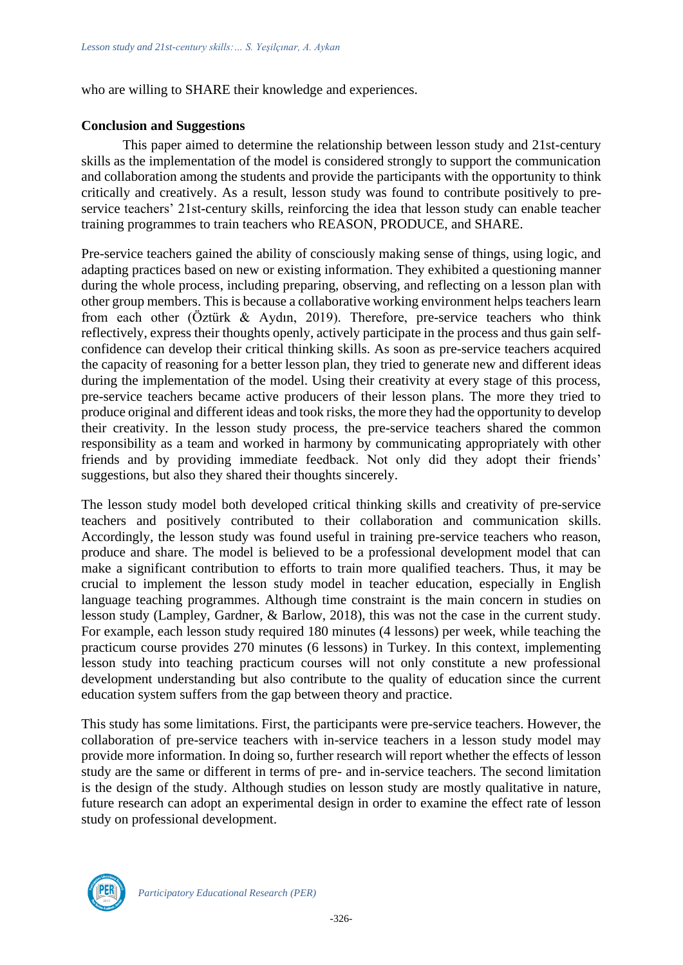who are willing to SHARE their knowledge and experiences.

#### **Conclusion and Suggestions**

This paper aimed to determine the relationship between lesson study and 21st-century skills as the implementation of the model is considered strongly to support the communication and collaboration among the students and provide the participants with the opportunity to think critically and creatively. As a result, lesson study was found to contribute positively to preservice teachers' 21st-century skills, reinforcing the idea that lesson study can enable teacher training programmes to train teachers who REASON, PRODUCE, and SHARE.

Pre-service teachers gained the ability of consciously making sense of things, using logic, and adapting practices based on new or existing information. They exhibited a questioning manner during the whole process, including preparing, observing, and reflecting on a lesson plan with other group members. This is because a collaborative working environment helps teachers learn from each other (Öztürk & Aydın, 2019). Therefore, pre-service teachers who think reflectively, express their thoughts openly, actively participate in the process and thus gain selfconfidence can develop their critical thinking skills. As soon as pre-service teachers acquired the capacity of reasoning for a better lesson plan, they tried to generate new and different ideas during the implementation of the model. Using their creativity at every stage of this process, pre-service teachers became active producers of their lesson plans. The more they tried to produce original and different ideas and took risks, the more they had the opportunity to develop their creativity. In the lesson study process, the pre-service teachers shared the common responsibility as a team and worked in harmony by communicating appropriately with other friends and by providing immediate feedback. Not only did they adopt their friends' suggestions, but also they shared their thoughts sincerely.

The lesson study model both developed critical thinking skills and creativity of pre-service teachers and positively contributed to their collaboration and communication skills. Accordingly, the lesson study was found useful in training pre-service teachers who reason, produce and share. The model is believed to be a professional development model that can make a significant contribution to efforts to train more qualified teachers. Thus, it may be crucial to implement the lesson study model in teacher education, especially in English language teaching programmes. Although time constraint is the main concern in studies on lesson study (Lampley, Gardner, & Barlow, 2018), this was not the case in the current study. For example, each lesson study required 180 minutes (4 lessons) per week, while teaching the practicum course provides 270 minutes (6 lessons) in Turkey. In this context, implementing lesson study into teaching practicum courses will not only constitute a new professional development understanding but also contribute to the quality of education since the current education system suffers from the gap between theory and practice.

This study has some limitations. First, the participants were pre-service teachers. However, the collaboration of pre-service teachers with in-service teachers in a lesson study model may provide more information. In doing so, further research will report whether the effects of lesson study are the same or different in terms of pre- and in-service teachers. The second limitation is the design of the study. Although studies on lesson study are mostly qualitative in nature, future research can adopt an experimental design in order to examine the effect rate of lesson study on professional development.

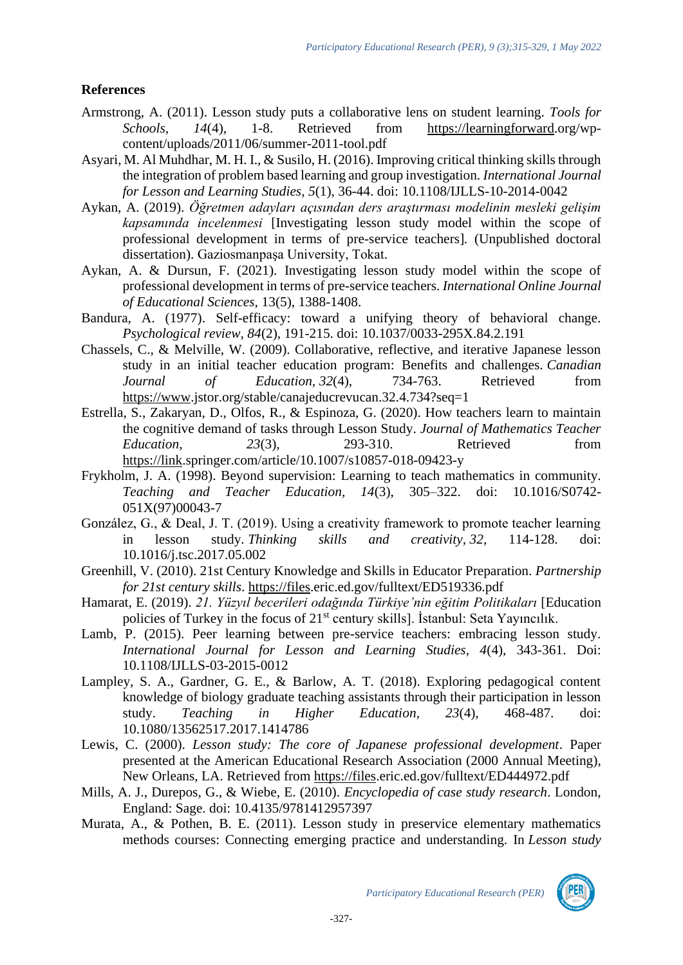## **References**

- Armstrong, A. (2011). Lesson study puts a collaborative lens on student learning. *Tools for Schools, 14*(4), 1-8. Retrieved from [https://learningforward.](https://learningforward/)org/wpcontent/uploads/2011/06/summer-2011-tool.pdf
- Asyari, M. Al Muhdhar, M. H. I., & Susilo, H. (2016). Improving critical thinking skills through the integration of problem based learning and group investigation. *International Journal for Lesson and Learning Studies, 5*(1), 36-44. [doi: 10.1108/IJLLS-10-2014-0042](https://doi.org/10.1108/IJLLS-10-2014-0042)
- Aykan, A. (2019). *Öğretmen adayları açısından ders araştırması modelinin mesleki gelişim kapsamında incelenmesi* [Investigating lesson study model within the scope of professional development in terms of pre-service teachers]*.* (Unpublished doctoral dissertation). Gaziosmanpaşa University, Tokat.
- Aykan, A. & Dursun, F. (2021). Investigating lesson study model within the scope of professional development in terms of pre-service teachers. *International Online Journal of Educational Sciences,* 13(5), 1388-1408.
- Bandura, A. (1977). Self-efficacy: toward a unifying theory of behavioral change. *Psychological review, 84*(2), 191-215. [doi: 10.1037/0033-295X.84.2.191](https://doi.org/10.1037/0033-295X.84.2.191)
- Chassels, C., & Melville, W. (2009). Collaborative, reflective, and iterative Japanese lesson study in an initial teacher education program: Benefits and challenges. *Canadian Journal of Education, 32*(4), 734-763. Retrieved from [https://www.](https://www/)jstor.org/stable/canajeducrevucan.32.4.734?seq=1
- Estrella, S., Zakaryan, D., Olfos, R., & Espinoza, G. (2020). How teachers learn to maintain the cognitive demand of tasks through Lesson Study. *Journal of Mathematics Teacher Education,* 23(3), 293-310. Retrieved from [https://link.](https://link/)springer.com/article/10.1007/s10857-018-09423-y
- Frykholm, J. A. (1998). Beyond supervision: Learning to teach mathematics in community. *Teaching and Teacher Education, 14*(3), 305–322. [doi: 10.1016/S0742-](https://doi.org/10.1016/S0742-051X(97)00043-7) [051X\(97\)00043-7](https://doi.org/10.1016/S0742-051X(97)00043-7)
- González, G., & Deal, J. T. (2019). Using a creativity framework to promote teacher learning in lesson study. *Thinking skills and creativity, 32*, 114-128. [doi:](https://doi.org/10.1016/j.tsc.2017.05.002)  [10.1016/j.tsc.2017.05.002](https://doi.org/10.1016/j.tsc.2017.05.002)
- Greenhill, V. (2010). 21st Century Knowledge and Skills in Educator Preparation. *Partnership for 21st century skills*. [https://files.](https://files/)eric.ed.gov/fulltext/ED519336.pdf
- Hamarat, E. (2019). 21. Yüzyıl becerileri odağında Türkiye'nin eğitim Politikaları [Education policies of Turkey in the focus of 21<sup>st</sup> century skills]. İstanbul: Seta Yayıncılık.
- Lamb, P. (2015). Peer learning between pre-service teachers: embracing lesson study. *International Journal for Lesson and Learning Studies, 4*(4), 343-361. Doi: 10.1108/IJLLS-03-2015-0012
- Lampley, S. A., Gardner, G. E., & Barlow, A. T. (2018). Exploring pedagogical content knowledge of biology graduate teaching assistants through their participation in lesson study. *Teaching in Higher Education, 23*(4), 468-487. [doi:](https://doi.org/10.1080/13562517.2017.1414786)  [10.1080/13562517.2017.1414786](https://doi.org/10.1080/13562517.2017.1414786)
- Lewis, C. (2000). *Lesson study: The core of Japanese professional development*. Paper presented at the American Educational Research Association (2000 Annual Meeting), New Orleans, LA. Retrieved from [https://files.](https://files/)eric.ed.gov/fulltext/ED444972.pdf
- Mills, A. J., Durepos, G., & Wiebe, E. (2010). *Encyclopedia of case study research*. London, England: Sage. [doi: 10.4135/9781412957397](https://doi.org/10.4135/9781412957397)
- Murata, A., & Pothen, B. E. (2011). Lesson study in preservice elementary mathematics methods courses: Connecting emerging practice and understanding. In *Lesson study*



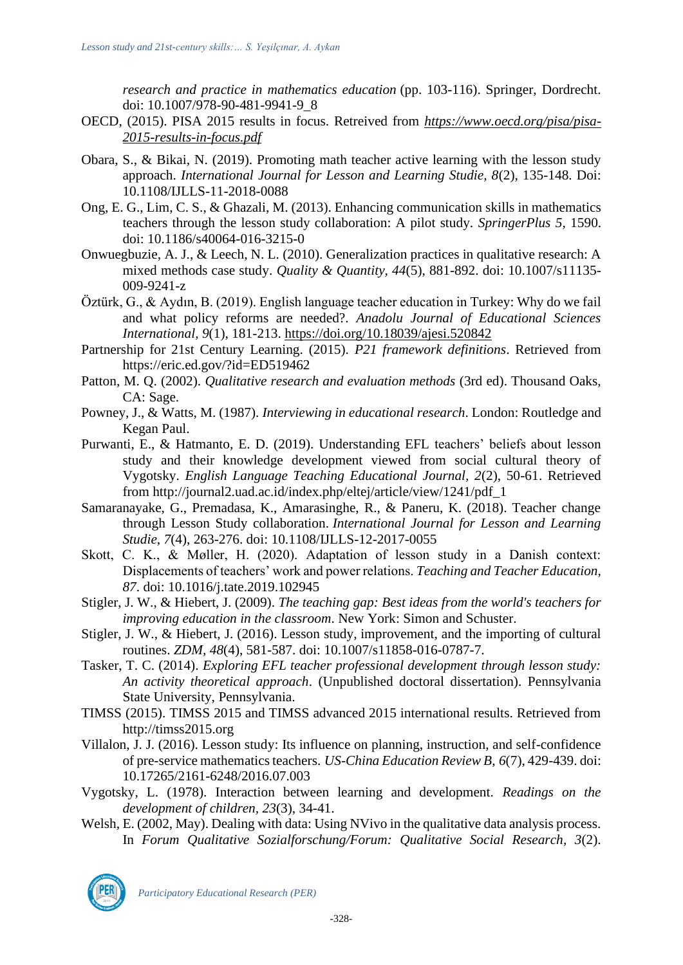*research and practice in mathematics education* (pp. 103-116). Springer, Dordrecht. [doi: 10.1007/978-90-481-9941-9\\_8](https://doi.org/10.1007/978-90-481-9941-9_8)

- OECD, (2015). PISA 2015 results in focus. Retreived from *[https://www.oecd.org/pisa/pisa-](https://www.oecd.org/pisa/pisa-2015-results-in-focus.pdf)[2015-results-in-focus.pdf](https://www.oecd.org/pisa/pisa-2015-results-in-focus.pdf)*
- Obara, S., & Bikai, N. (2019). Promoting math teacher active learning with the lesson study approach. *International Journal for Lesson and Learning Studie, 8*(2), 135-148. Doi: 10.1108/IJLLS-11-2018-0088
- Ong, E. G., Lim, C. S., & Ghazali, M. (2013). Enhancing communication skills in mathematics teachers through the lesson study collaboration: A pilot study. *SpringerPlus 5,* 1590. [doi: 10.1186/s40064-016-3215-0](https://doi.org/10.1186/s40064-016-3215-0)
- Onwuegbuzie, A. J., & Leech, N. L. (2010). Generalization practices in qualitative research: A mixed methods case study. *Quality & Quantity, 44*(5), 881-892. [doi: 10.1007/s11135-](https://doi.org/10.1007/s11135-009-9241-z) [009-9241-z](https://doi.org/10.1007/s11135-009-9241-z)
- Öztürk, G., & Aydın, B. (2019). English language teacher education in Turkey: Why do we fail and what policy reforms are needed?. *Anadolu Journal of Educational Sciences International, 9*(1), 181-213.<https://doi.org/10.18039/ajesi.520842>
- Partnership for 21st Century Learning. (2015). *P21 framework definitions*. Retrieved from https://eric.ed.gov/?id=ED519462
- Patton, M. Q. (2002). *Qualitative research and evaluation methods* (3rd ed). Thousand Oaks, CA: Sage.
- Powney, J., & Watts, M. (1987). *Interviewing in educational research*. London: Routledge and Kegan Paul.
- Purwanti, E., & Hatmanto, E. D. (2019). Understanding EFL teachers' beliefs about lesson study and their knowledge development viewed from social cultural theory of Vygotsky. *English Language Teaching Educational Journal, 2*(2), 50-61. Retrieved from http://journal2.uad.ac.id/index.php/eltej/article/view/1241/pdf\_1
- Samaranayake, G., Premadasa, K., Amarasinghe, R., & Paneru, K. (2018). Teacher change through Lesson Study collaboration. *International Journal for Lesson and Learning Studie, 7*(4), 263-276. [doi: 10.1108/IJLLS-12-2017-0055](https://doi.org/10.1108/IJLLS-12-2017-0055)
- Skott, C. K., & Møller, H. (2020). Adaptation of lesson study in a Danish context: Displacements of teachers' work and power relations. *Teaching and Teacher Education, 87*. [doi: 10.1016/j.tate.2019.102945](https://doi.org/10.1016/j.tate.2019.102945)
- Stigler, J. W., & Hiebert, J. (2009). *The teaching gap: Best ideas from the world's teachers for improving education in the classroom*. New York: Simon and Schuster.
- Stigler, J. W., & Hiebert, J. (2016). Lesson study, improvement, and the importing of cultural routines. *ZDM, 48*(4), 581-587. [doi: 10.1007/s11858-016-0787-7.](https://doi.org/10.1007/s11858-016-0787-7)
- Tasker, T. C. (2014). *Exploring EFL teacher professional development through lesson study: An activity theoretical approach*. (Unpublished doctoral dissertation). Pennsylvania State University, Pennsylvania.
- TIMSS (2015). TIMSS 2015 and TIMSS advanced 2015 international results. Retrieved from http://timss2015.org
- Villalon, J. J. (2016). Lesson study: Its influence on planning, instruction, and self-confidence of pre-service mathematics teachers. *US-China Education Review B, 6*(7), 429-439. [doi:](https://doi.org/10.17265/2161-6248/2016.07.003)  [10.17265/2161-6248/2016.07.003](https://doi.org/10.17265/2161-6248/2016.07.003)
- Vygotsky, L. (1978). Interaction between learning and development. *Readings on the development of children, 23*(3), 34-41.
- Welsh, E. (2002, May). Dealing with data: Using NVivo in the qualitative data analysis process. In *Forum Qualitative Sozialforschung/Forum: Qualitative Social Research, 3*(2).